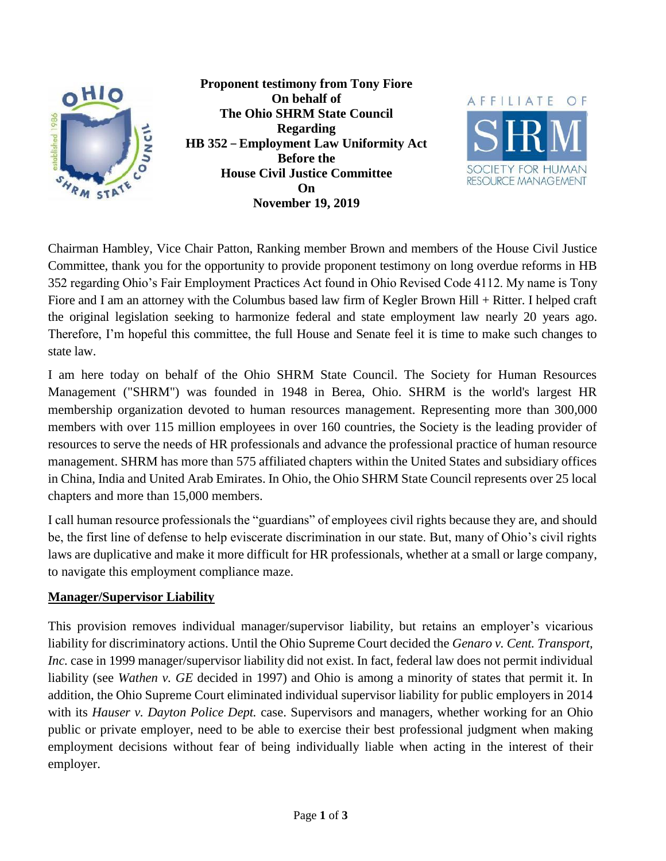



Chairman Hambley, Vice Chair Patton, Ranking member Brown and members of the House Civil Justice Committee, thank you for the opportunity to provide proponent testimony on long overdue reforms in HB 352 regarding Ohio's Fair Employment Practices Act found in Ohio Revised Code 4112. My name is Tony Fiore and I am an attorney with the Columbus based law firm of Kegler Brown Hill + Ritter. I helped craft the original legislation seeking to harmonize federal and state employment law nearly 20 years ago. Therefore, I'm hopeful this committee, the full House and Senate feel it is time to make such changes to state law.

I am here today on behalf of the Ohio SHRM State Council. The Society for Human Resources Management ("SHRM") was founded in 1948 in Berea, Ohio. SHRM is the world's largest HR membership organization devoted to human resources management. Representing more than 300,000 members with over 115 million employees in over 160 countries, the Society is the leading provider of resources to serve the needs of HR professionals and advance the professional practice of human resource management. SHRM has more than 575 affiliated chapters within the United States and subsidiary offices in China, India and United Arab Emirates. In Ohio, the Ohio SHRM State Council represents over 25 local chapters and more than 15,000 members.

I call human resource professionals the "guardians" of employees civil rights because they are, and should be, the first line of defense to help eviscerate discrimination in our state. But, many of Ohio's civil rights laws are duplicative and make it more difficult for HR professionals, whether at a small or large company, to navigate this employment compliance maze.

## **Manager/Supervisor Liability**

This provision removes individual manager/supervisor liability, but retains an employer's vicarious liability for discriminatory actions. Until the Ohio Supreme Court decided the *Genaro v. Cent. Transport, Inc.* case in 1999 manager/supervisor liability did not exist. In fact, federal law does not permit individual liability (see *Wathen v. GE* decided in 1997) and Ohio is among a minority of states that permit it. In addition, the Ohio Supreme Court eliminated individual supervisor liability for public employers in 2014 with its *Hauser v. Dayton Police Dept.* case. Supervisors and managers, whether working for an Ohio public or private employer, need to be able to exercise their best professional judgment when making employment decisions without fear of being individually liable when acting in the interest of their employer.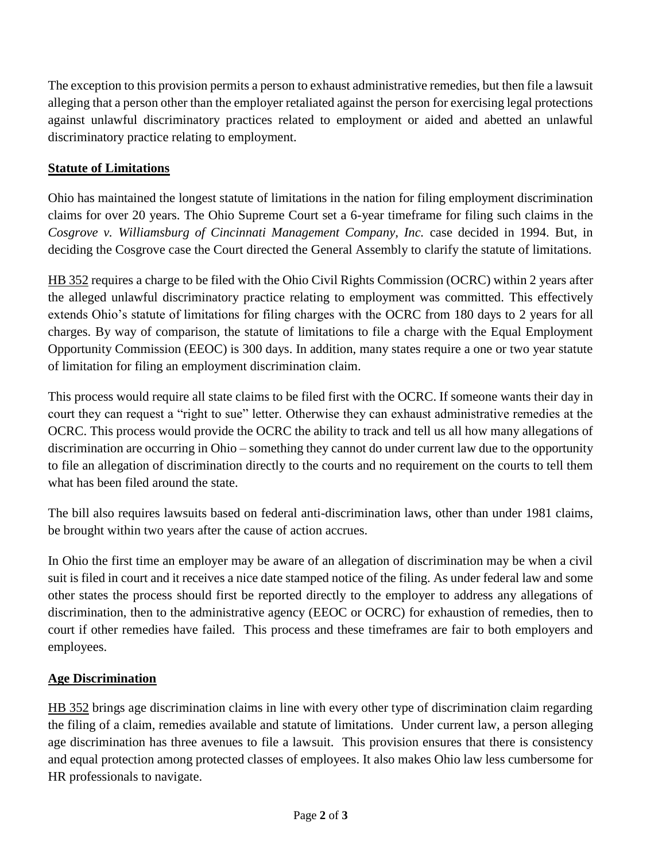The exception to this provision permits a person to exhaust administrative remedies, but then file a lawsuit alleging that a person other than the employer retaliated against the person for exercising legal protections against unlawful discriminatory practices related to employment or aided and abetted an unlawful discriminatory practice relating to employment.

## **Statute of Limitations**

Ohio has maintained the longest statute of limitations in the nation for filing employment discrimination claims for over 20 years. The Ohio Supreme Court set a 6-year timeframe for filing such claims in the *Cosgrove v. Williamsburg of Cincinnati Management Company, Inc.* case decided in 1994. But, in deciding the Cosgrove case the Court directed the General Assembly to clarify the statute of limitations.

HB 352 requires a charge to be filed with the Ohio Civil Rights Commission (OCRC) within 2 years after the alleged unlawful discriminatory practice relating to employment was committed. This effectively extends Ohio's statute of limitations for filing charges with the OCRC from 180 days to 2 years for all charges. By way of comparison, the statute of limitations to file a charge with the Equal Employment Opportunity Commission (EEOC) is 300 days. In addition, many states require a one or two year statute of limitation for filing an employment discrimination claim.

This process would require all state claims to be filed first with the OCRC. If someone wants their day in court they can request a "right to sue" letter. Otherwise they can exhaust administrative remedies at the OCRC. This process would provide the OCRC the ability to track and tell us all how many allegations of discrimination are occurring in Ohio – something they cannot do under current law due to the opportunity to file an allegation of discrimination directly to the courts and no requirement on the courts to tell them what has been filed around the state.

The bill also requires lawsuits based on federal anti-discrimination laws, other than under 1981 claims, be brought within two years after the cause of action accrues.

In Ohio the first time an employer may be aware of an allegation of discrimination may be when a civil suit is filed in court and it receives a nice date stamped notice of the filing. As under federal law and some other states the process should first be reported directly to the employer to address any allegations of discrimination, then to the administrative agency (EEOC or OCRC) for exhaustion of remedies, then to court if other remedies have failed. This process and these timeframes are fair to both employers and employees.

## **Age Discrimination**

HB 352 brings age discrimination claims in line with every other type of discrimination claim regarding the filing of a claim, remedies available and statute of limitations. Under current law, a person alleging age discrimination has three avenues to file a lawsuit. This provision ensures that there is consistency and equal protection among protected classes of employees. It also makes Ohio law less cumbersome for HR professionals to navigate.